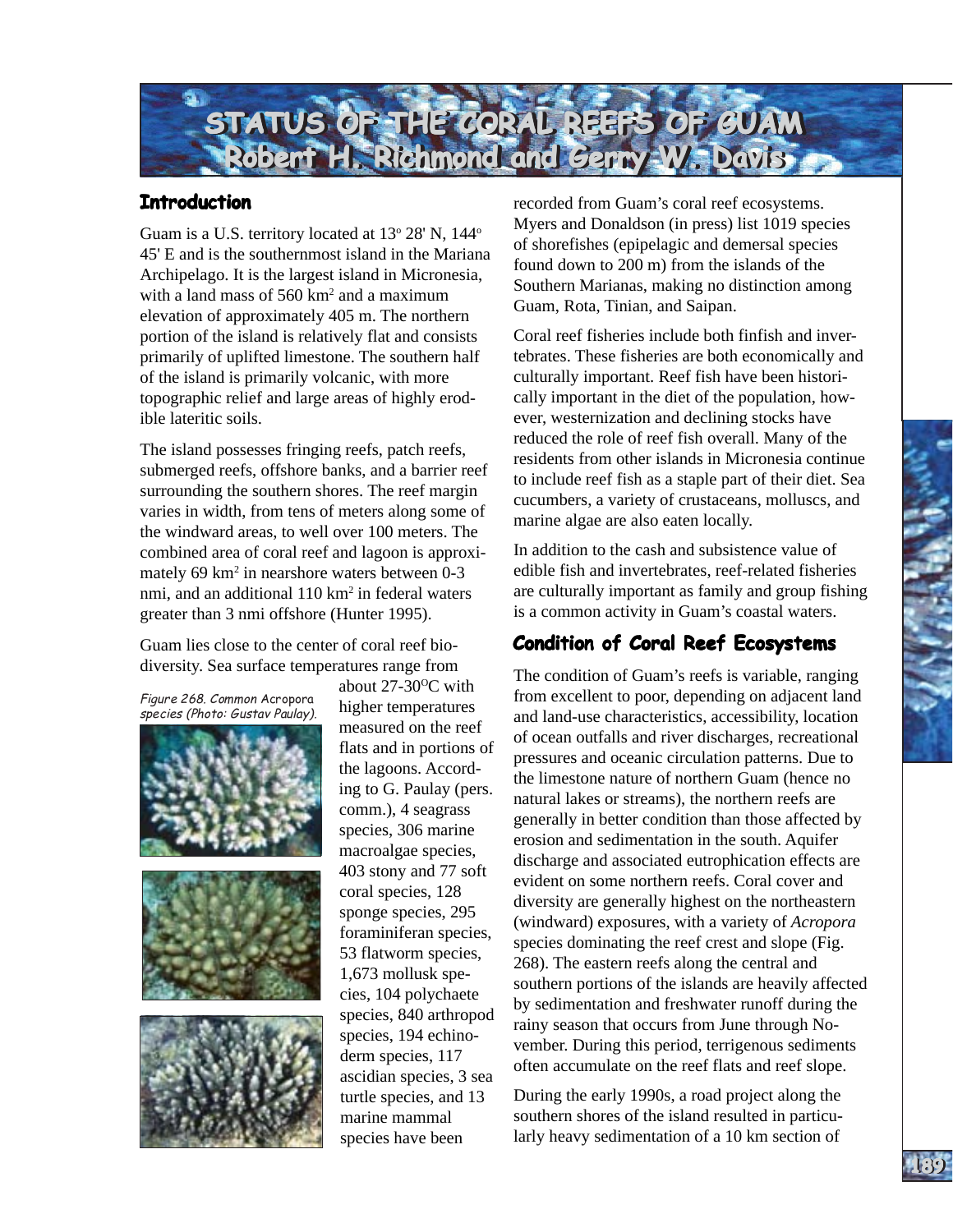

## **Introduction**

Guam is a U.S. territory located at 13° 28' N, 144° 45' E and is the southernmost island in the Mariana Archipelago. It is the largest island in Micronesia, with a land mass of  $560 \text{ km}^2$  and a maximum elevation of approximately 405 m. The northern portion of the island is relatively flat and consists primarily of uplifted limestone. The southern half of the island is primarily volcanic, with more topographic relief and large areas of highly erodible lateritic soils.

The island possesses fringing reefs, patch reefs, submerged reefs, offshore banks, and a barrier reef surrounding the southern shores. The reef margin varies in width, from tens of meters along some of the windward areas, to well over 100 meters. The combined area of coral reef and lagoon is approximately 69 km<sup>2</sup> in nearshore waters between 0-3 nmi, and an additional 110 km<sup>2</sup> in federal waters greater than 3 nmi offshore (Hunter 1995).

Guam lies close to the center of coral reef biodiversity. Sea surface temperatures range from

Figure 268. Common Acropora species (Photo: Gustav Paulay).







about  $27-30$ <sup>o</sup>C with higher temperatures measured on the reef flats and in portions of the lagoons. According to G. Paulay (pers. comm.), 4 seagrass species, 306 marine macroalgae species, 403 stony and 77 soft coral species, 128 sponge species, 295 foraminiferan species, 53 flatworm species, 1,673 mollusk species, 104 polychaete species, 840 arthropod species, 194 echinoderm species, 117 ascidian species, 3 sea turtle species, and 13 marine mammal species have been

recorded from Guam's coral reef ecosystems. Myers and Donaldson (in press) list 1019 species of shorefishes (epipelagic and demersal species found down to 200 m) from the islands of the Southern Marianas, making no distinction among Guam, Rota, Tinian, and Saipan.

Coral reef fisheries include both finfish and invertebrates. These fisheries are both economically and culturally important. Reef fish have been historically important in the diet of the population, however, westernization and declining stocks have reduced the role of reef fish overall. Many of the residents from other islands in Micronesia continue to include reef fish as a staple part of their diet. Sea cucumbers, a variety of crustaceans, molluscs, and marine algae are also eaten locally.

In addition to the cash and subsistence value of edible fish and invertebrates, reef-related fisheries are culturally important as family and group fishing is a common activity in Guam's coastal waters.

# **Condition of Coral Reef Ecosystems**

The condition of Guam's reefs is variable, ranging from excellent to poor, depending on adjacent land and land-use characteristics, accessibility, location of ocean outfalls and river discharges, recreational pressures and oceanic circulation patterns. Due to the limestone nature of northern Guam (hence no natural lakes or streams), the northern reefs are generally in better condition than those affected by erosion and sedimentation in the south. Aquifer discharge and associated eutrophication effects are evident on some northern reefs. Coral cover and diversity are generally highest on the northeastern (windward) exposures, with a variety of *Acropora*  species dominating the reef crest and slope (Fig. 268). The eastern reefs along the central and southern portions of the islands are heavily affected by sedimentation and freshwater runoff during the rainy season that occurs from June through November. During this period, terrigenous sediments often accumulate on the reef flats and reef slope.

During the early 1990s, a road project along the southern shores of the island resulted in particularly heavy sedimentation of a 10 km section of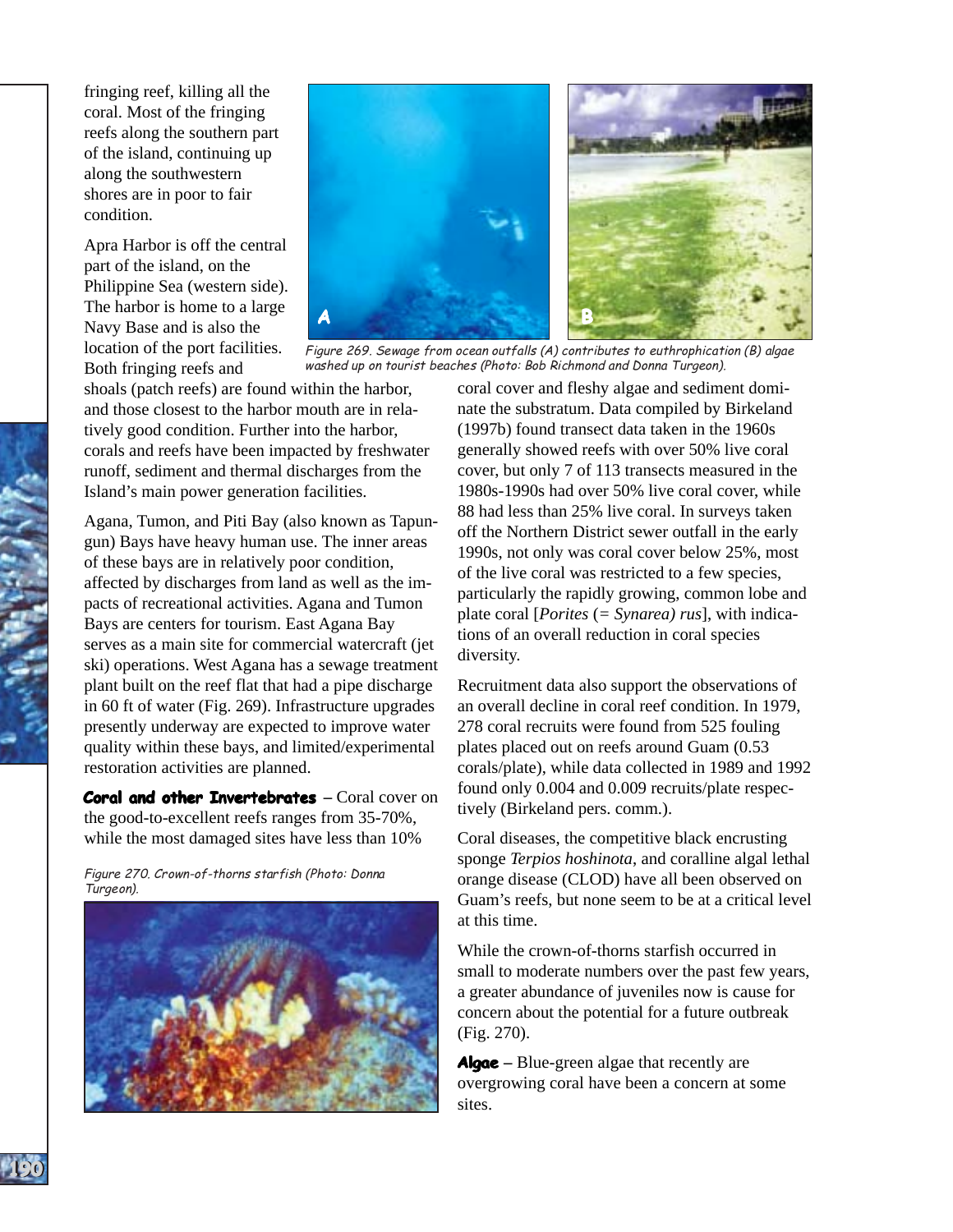fringing reef, killing all the coral. Most of the fringing reefs along the southern part of the island, continuing up along the southwestern shores are in poor to fair condition.

Apra Harbor is off the central part of the island, on the Philippine Sea (western side). The harbor is home to a large Navy Base and is also the location of the port facilities. Both fringing reefs and

**GUAM GUAM**

**190190**



Figure 269. Sewage from ocean outfalls (A) contributes to euthrophication (B) algae washed up on tourist beaches (Photo: Bob Richmond and Donna Turgeon).

shoals (patch reefs) are found within the harbor, and those closest to the harbor mouth are in relatively good condition. Further into the harbor, corals and reefs have been impacted by freshwater runoff, sediment and thermal discharges from the Island's main power generation facilities.

Agana, Tumon, and Piti Bay (also known as Tapungun) Bays have heavy human use. The inner areas of these bays are in relatively poor condition, affected by discharges from land as well as the impacts of recreational activities. Agana and Tumon Bays are centers for tourism. East Agana Bay serves as a main site for commercial watercraft (jet ski) operations. West Agana has a sewage treatment plant built on the reef flat that had a pipe discharge in 60 ft of water (Fig. 269). Infrastructure upgrades presently underway are expected to improve water quality within these bays, and limited/experimental restoration activities are planned.

**Coral and other Invertebrates – Coral cover on** the good-to-excellent reefs ranges from 35-70%, while the most damaged sites have less than 10%

Figure 270. Crown-of-thorns starfish (Photo: Donna Turgeon).



coral cover and fleshy algae and sediment dominate the substratum. Data compiled by Birkeland (1997b) found transect data taken in the 1960s generally showed reefs with over 50% live coral cover, but only 7 of 113 transects measured in the 1980s-1990s had over 50% live coral cover, while 88 had less than 25% live coral. In surveys taken off the Northern District sewer outfall in the early 1990s, not only was coral cover below 25%, most of the live coral was restricted to a few species, particularly the rapidly growing, common lobe and plate coral [*Porites* (*= Synarea) rus*], with indications of an overall reduction in coral species diversity.

Recruitment data also support the observations of an overall decline in coral reef condition. In 1979, 278 coral recruits were found from 525 fouling plates placed out on reefs around Guam (0.53 corals/plate), while data collected in 1989 and 1992 found only 0.004 and 0.009 recruits/plate respectively (Birkeland pers. comm.).

Coral diseases, the competitive black encrusting sponge *Terpios hoshinota*, and coralline algal lethal orange disease (CLOD) have all been observed on Guam's reefs, but none seem to be at a critical level at this time.

While the crown-of-thorns starfish occurred in small to moderate numbers over the past few years, a greater abundance of juveniles now is cause for concern about the potential for a future outbreak (Fig. 270).

**Algae–** Blue-green algae that recently are overgrowing coral have been a concern at some sites.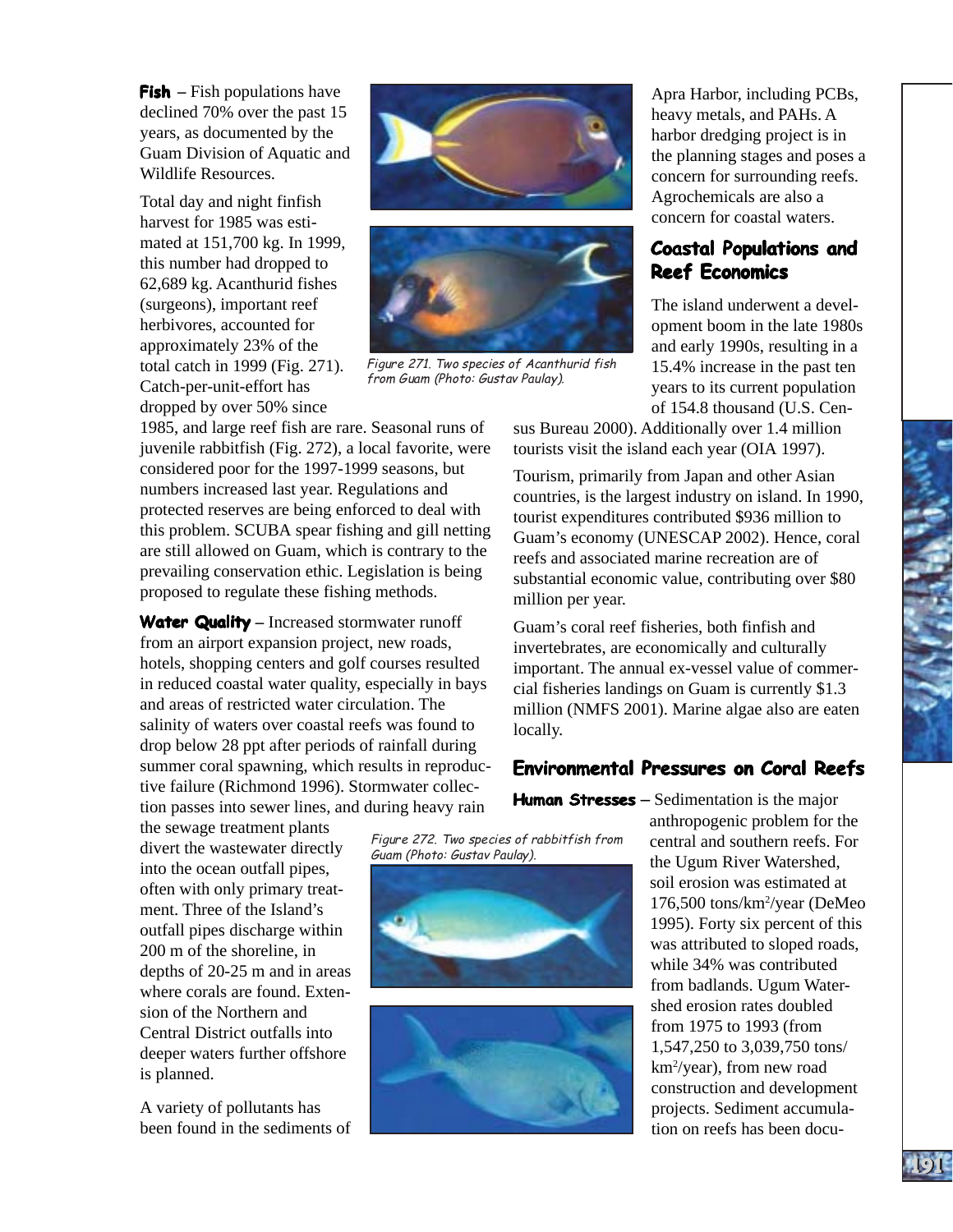harvest for 1985 was estimated at 151,700 kg. In 1999, this number had dropped to 62,689 kg. Acanthurid fishes (surgeons), important reef herbivores, accounted for approximately 23% of the total catch in 1999 (Fig. 271). Catch-per-unit-effort has dropped by over 50% since





Figure 271. Two species of Acanthurid fish from Guam (Photo: Gustav Paulay).

1985, and large reef fish are rare. Seasonal runs of juvenile rabbitfish (Fig. 272), a local favorite, were considered poor for the 1997-1999 seasons, but numbers increased last year. Regulations and protected reserves are being enforced to deal with this problem. SCUBA spear fishing and gill netting are still allowed on Guam, which is contrary to the prevailing conservation ethic. Legislation is being proposed to regulate these fishing methods.

**Water Quality –** Increased stormwater runoff from an airport expansion project, new roads, hotels, shopping centers and golf courses resulted in reduced coastal water quality, especially in bays and areas of restricted water circulation. The salinity of waters over coastal reefs was found to drop below 28 ppt after periods of rainfall during summer coral spawning, which results in reproductive failure (Richmond 1996). Stormwater collection passes into sewer lines, and during heavy rain

the sewage treatment plants into the ocean outfall pipes, often with only primary treatment. Three of the Island's outfall pipes discharge within 200 m of the shoreline, in depths of 20-25 m and in areas where corals are found. Extension of the Northern and Central District outfalls into deeper waters further offshore is planned.

A variety of pollutants has been found in the sediments of **Reef Economics Reef Economics** The island underwent a development boom in the late 1980s and early 1990s, resulting in a

15.4% increase in the past ten years to its current population of 154.8 thousand (U.S. Cen-

concern for surrounding reefs.

**Coastal Populations and** 

concern for coastal waters.

sus Bureau 2000). Additionally over 1.4 million tourists visit the island each year (OIA 1997).

Tourism, primarily from Japan and other Asian countries, is the largest industry on island. In 1990, tourist expenditures contributed \$936 million to Guam's economy (UNESCAP 2002). Hence, coral reefs and associated marine recreation are of substantial economic value, contributing over \$80 million per year.

Guam's coral reef fisheries, both finfish and invertebrates, are economically and culturally important. The annual ex-vessel value of commercial fisheries landings on Guam is currently \$1.3 million (NMFS 2001). Marine algae also are eaten locally.

## **Environmental Pressures on Coral Reefs Environmental Pressures on Coral Reefs**

 $\frac{F}{\text{H}}$  Figure 272. Two species of rabbitfish from divert the wastewater directly  $\frac{F}{\text{G}}$  Guam (Photo: Gustav Paulay).





**Human Stresses** – Sedimentation is the major anthropogenic problem for the central and southern reefs. For the Ugum River Watershed, soil erosion was estimated at 176,500 tons/km2 /year (DeMeo 1995). Forty six percent of this was attributed to sloped roads, while 34% was contributed from badlands. Ugum Watershed erosion rates doubled from 1975 to 1993 (from 1,547,250 to 3,039,750 tons/ km2 /year), from new road construction and development projects. Sediment accumulation on reefs has been docu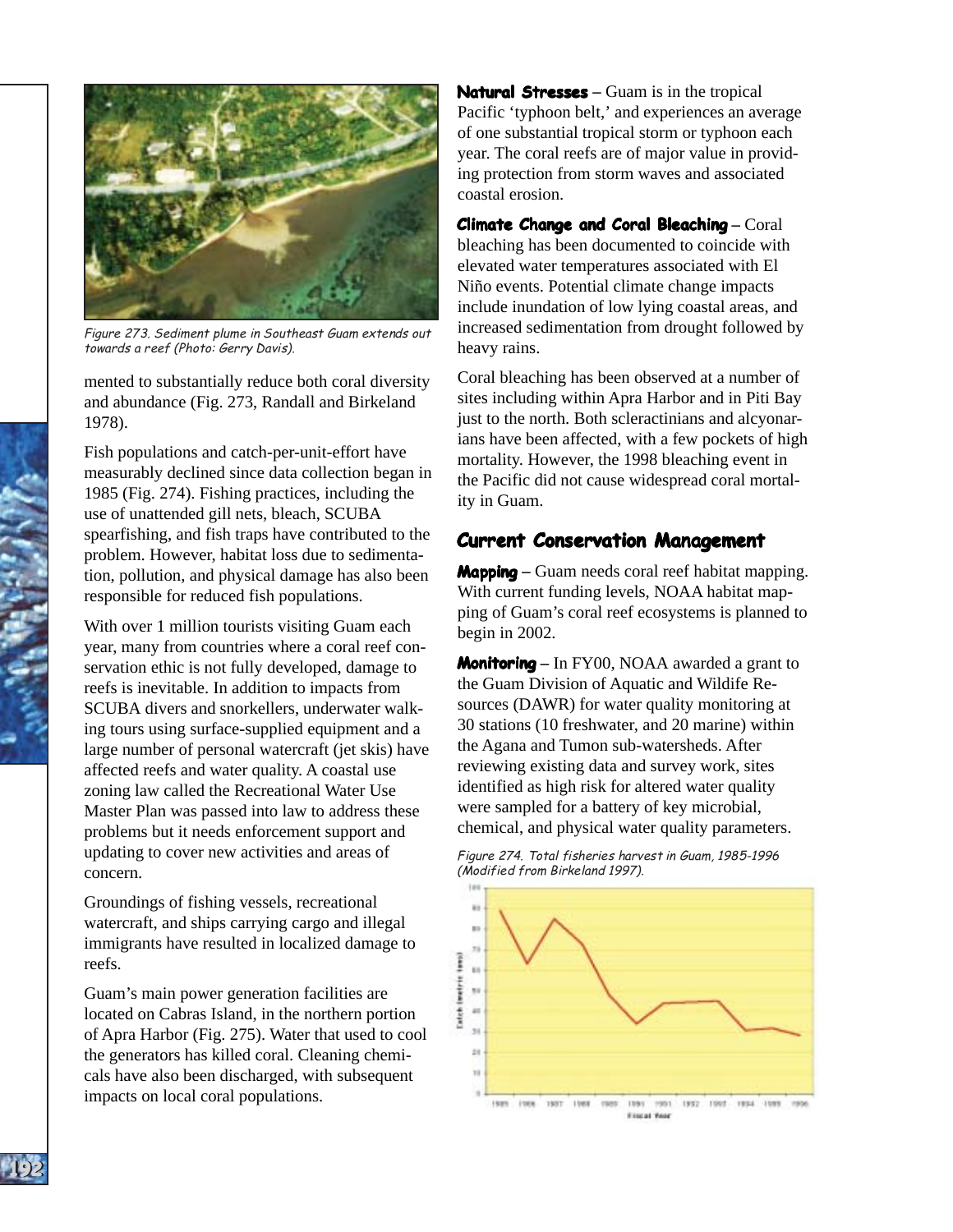

Figure 273. Sediment plume in Southeast Guam extends out towards a reef (Photo: Gerry Davis).

mented to substantially reduce both coral diversity and abundance (Fig. 273, Randall and Birkeland 1978).

Fish populations and catch-per-unit-effort have measurably declined since data collection began in 1985 (Fig. 274). Fishing practices, including the use of unattended gill nets, bleach, SCUBA spearfishing, and fish traps have contributed to the problem. However, habitat loss due to sedimentation, pollution, and physical damage has also been responsible for reduced fish populations.

With over 1 million tourists visiting Guam each year, many from countries where a coral reef conservation ethic is not fully developed, damage to reefs is inevitable. In addition to impacts from SCUBA divers and snorkellers, underwater walking tours using surface-supplied equipment and a large number of personal watercraft (jet skis) have affected reefs and water quality. A coastal use zoning law called the Recreational Water Use Master Plan was passed into law to address these problems but it needs enforcement support and updating to cover new activities and areas of concern.

Groundings of fishing vessels, recreational watercraft, and ships carrying cargo and illegal immigrants have resulted in localized damage to reefs.

Guam's main power generation facilities are located on Cabras Island, in the northern portion of Apra Harbor (Fig. 275). Water that used to cool the generators has killed coral. Cleaning chemicals have also been discharged, with subsequent impacts on local coral populations.

**Natural Stresses** – Guam is in the tropical Pacific 'typhoon belt,' and experiences an average of one substantial tropical storm or typhoon each year. The coral reefs are of major value in providing protection from storm waves and associated coastal erosion.

**Climate Change and Coral Bleaching – Coral** bleaching has been documented to coincide with elevated water temperatures associated with El Niño events. Potential climate change impacts include inundation of low lying coastal areas, and increased sedimentation from drought followed by heavy rains.

Coral bleaching has been observed at a number of sites including within Apra Harbor and in Piti Bay just to the north. Both scleractinians and alcyonarians have been affected, with a few pockets of high mortality. However, the 1998 bleaching event in the Pacific did not cause widespread coral mortality in Guam.

### **Current Conservation Management**

**Mapping** – Guam needs coral reef habitat mapping. With current funding levels, NOAA habitat mapping of Guam's coral reef ecosystems is planned to begin in 2002.

**Monitoring** – In FY00, NOAA awarded a grant to the Guam Division of Aquatic and Wildife Resources (DAWR) for water quality monitoring at 30 stations (10 freshwater, and 20 marine) within the Agana and Tumon sub-watersheds. After reviewing existing data and survey work, sites identified as high risk for altered water quality were sampled for a battery of key microbial, chemical, and physical water quality parameters.



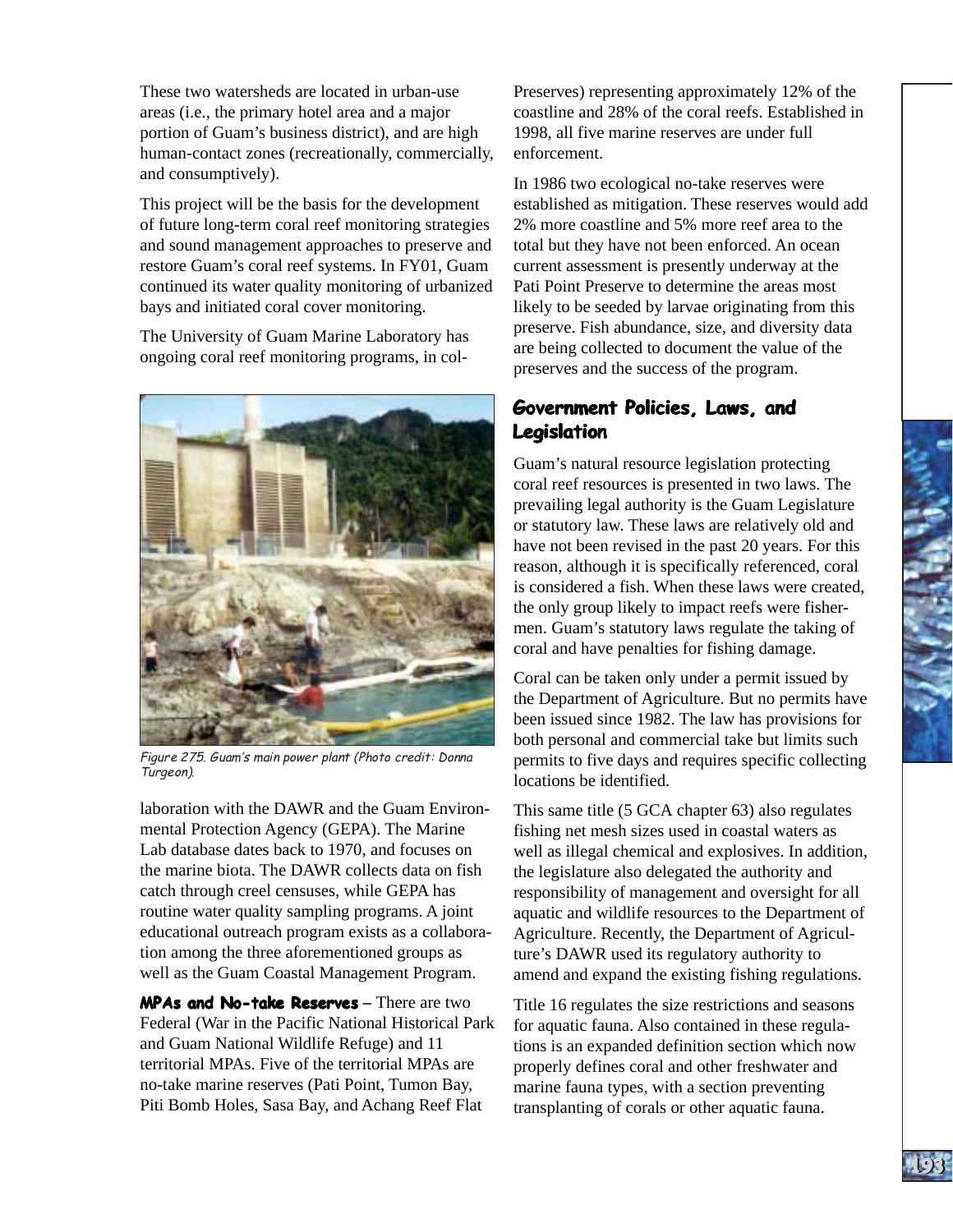These two watersheds are located in urban-use areas (i.e., the primary hotel area and a major portion of Guam's business district), and are high human-contact zones (recreationally, commercially, and consumptively).

This project will be the basis for the development of future long-term coral reef monitoring strategies and sound management approaches to preserve and restore Guam's coral reef systems. In FY01, Guam continued its water quality monitoring of urbanized bays and initiated coral cover monitoring.

The University of Guam Marine Laboratory has ongoing coral reef monitoring programs, in col-



Figure 275. Guam's main power plant (Photo credit: Donna Turgeon).

laboration with the DAWR and the Guam Environmental Protection Agency (GEPA). The Marine Lab database dates back to 1970, and focuses on the marine biota. The DAWR collects data on fish catch through creel censuses, while GEPA has routine water quality sampling programs. A joint educational outreach program exists as a collaboration among the three aforementioned groups as well as the Guam Coastal Management Program.

**MPAs and No-take Reserves** – There are two Federal (War in the Pacific National Historical Park and Guam National Wildlife Refuge) and 11 territorial MPAs. Five of the territorial MPAs are no-take marine reserves (Pati Point, Tumon Bay, Piti Bomb Holes, Sasa Bay, and Achang Reef Flat

Preserves) representing approximately 12% of the coastline and 28% of the coral reefs. Established in 1998, all five marine reserves are under full enforcement.

In 1986 two ecological no-take reserves were established as mitigation. These reserves would add 2% more coastline and 5% more reef area to the total but they have not been enforced. An ocean current assessment is presently underway at the Pati Point Preserve to determine the areas most likely to be seeded by larvae originating from this preserve. Fish abundance, size, and diversity data are being collected to document the value of the preserves and the success of the program.

# **Government Policies, Laws, and Legislation Legislation**

Guam's natural resource legislation protecting coral reef resources is presented in two laws. The prevailing legal authority is the Guam Legislature or statutory law. These laws are relatively old and have not been revised in the past 20 years. For this reason, although it is specifically referenced, coral is considered a fish. When these laws were created, the only group likely to impact reefs were fishermen. Guam's statutory laws regulate the taking of coral and have penalties for fishing damage.

**GUAM GUAM**

**193193**

Coral can be taken only under a permit issued by the Department of Agriculture. But no permits have been issued since 1982. The law has provisions for both personal and commercial take but limits such permits to five days and requires specific collecting locations be identified.

This same title (5 GCA chapter 63) also regulates fishing net mesh sizes used in coastal waters as well as illegal chemical and explosives. In addition, the legislature also delegated the authority and responsibility of management and oversight for all aquatic and wildlife resources to the Department of Agriculture. Recently, the Department of Agriculture's DAWR used its regulatory authority to amend and expand the existing fishing regulations.

Title 16 regulates the size restrictions and seasons for aquatic fauna. Also contained in these regulations is an expanded definition section which now properly defines coral and other freshwater and marine fauna types, with a section preventing transplanting of corals or other aquatic fauna.